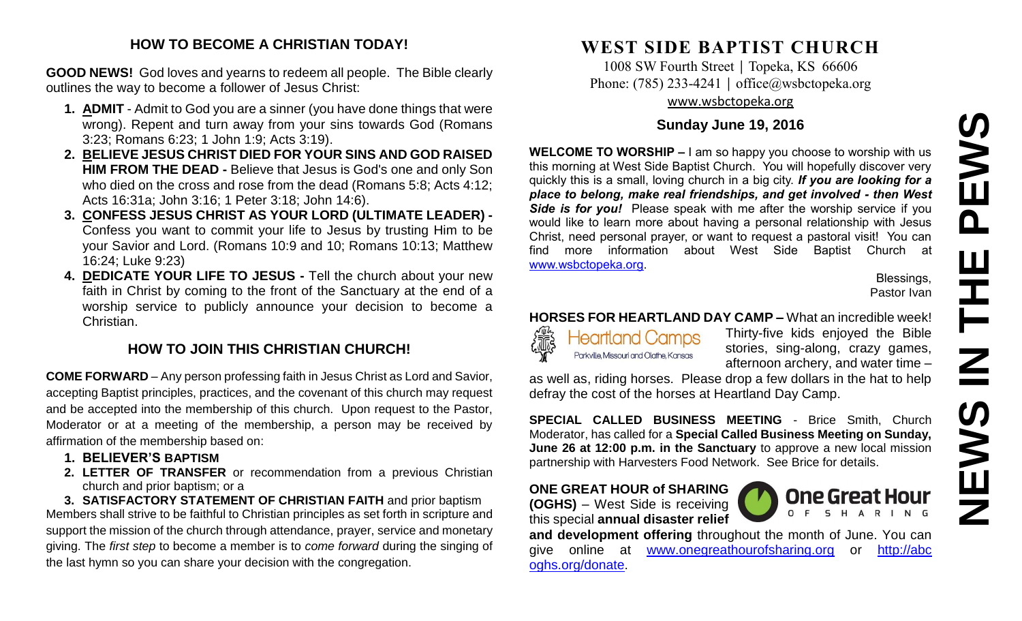# **NEWS IN THE PEWS**PEWS HT H **NAME**

### **HOW TO BECOME A CHRISTIAN TODAY!**

**GOOD NEWS!** God loves and yearns to redeem all people. The Bible clearly outlines the way to become a follower of Jesus Christ:

- **1. ADMIT** Admit to God you are a sinner (you have done things that were wrong). Repent and turn away from your sins towards God (Romans 3:23; Romans 6:23; 1 John 1:9; Acts 3:19).
- **2. BELIEVE JESUS CHRIST DIED FOR YOUR SINS AND GOD RAISED HIM FROM THE DEAD -** Believe that Jesus is God's one and only Son who died on the cross and rose from the dead (Romans 5:8; Acts 4:12; Acts 16:31a; John 3:16; 1 Peter 3:18; John 14:6).
- **3. CONFESS JESUS CHRIST AS YOUR LORD (ULTIMATE LEADER) -** Confess you want to commit your life to Jesus by trusting Him to be your Savior and Lord. (Romans 10:9 and 10; Romans 10:13; Matthew 16:24; Luke 9:23)
- **4. DEDICATE YOUR LIFE TO JESUS -** Tell the church about your new faith in Christ by coming to the front of the Sanctuary at the end of a worship service to publicly announce your decision to become a Christian.

### **HOW TO JOIN THIS CHRISTIAN CHURCH!**

**COME FORWARD** – Any person professing faith in Jesus Christ as Lord and Savior, accepting Baptist principles, practices, and the covenant of this church may request and be accepted into the membership of this church. Upon request to the Pastor, Moderator or at a meeting of the membership, a person may be received by affirmation of the membership based on:

- **1. BELIEVER'S BAPTISM**
- **2. LETTER OF TRANSFER** or recommendation from a previous Christian church and prior baptism; or a

**3. SATISFACTORY STATEMENT OF CHRISTIAN FAITH** and prior baptism Members shall strive to be faithful to Christian principles as set forth in scripture and support the mission of the church through attendance, prayer, service and monetary giving. The *first step* to become a member is to *come forward* during the singing of the last hymn so you can share your decision with the congregation.

# **WEST SIDE BAPTIST CHURCH**

1008 SW Fourth Street | Topeka, KS 66606 Phone: (785) 233-4241 │ [office@wsbctopeka.org](mailto:office@wsbctopeka.org) [www.wsbctopeka.org](http://www.wsbctopeka.org/)

### **Sunday June 19, 2016**

**WELCOME TO WORSHIP –** I am so happy you choose to worship with us this morning at West Side Baptist Church. You will hopefully discover very quickly this is a small, loving church in a big city. *If you are looking for a place to belong, make real friendships, and get involved - then West Side is for you!* Please speak with me after the worship service if you would like to learn more about having a personal relationship with Jesus Christ, need personal prayer, or want to request a pastoral visit! You can find more information about West Side Baptist Church at [www.wsbctopeka.org.](http://www.wsbctopeka.org/)

Blessings, Pastor Ivan

### **HORSES FOR HEARTLAND DAY CAMP –** What an incredible week!



Thirty-five kids enjoyed the Bible stories, sing-along, crazy games, afternoon archery, and water time –

as well as, riding horses. Please drop a few dollars in the hat to help defray the cost of the horses at Heartland Day Camp.

**SPECIAL CALLED BUSINESS MEETING** - Brice Smith, Church Moderator, has called for a **Special Called Business Meeting on Sunday, June 26 at 12:00 p.m. in the Sanctuary** to approve a new local mission partnership with Harvesters Food Network. See Brice for details.

### **ONE GREAT HOUR of SHARING**

**(OGHS)** – West Side is receiving this special **annual disaster relief** 



**and development offering** throughout the month of June. You can give online at [www.onegreathourofsharing.org](http://www.onegreathourofsharing.org/) or http://abc oghs.org/donate.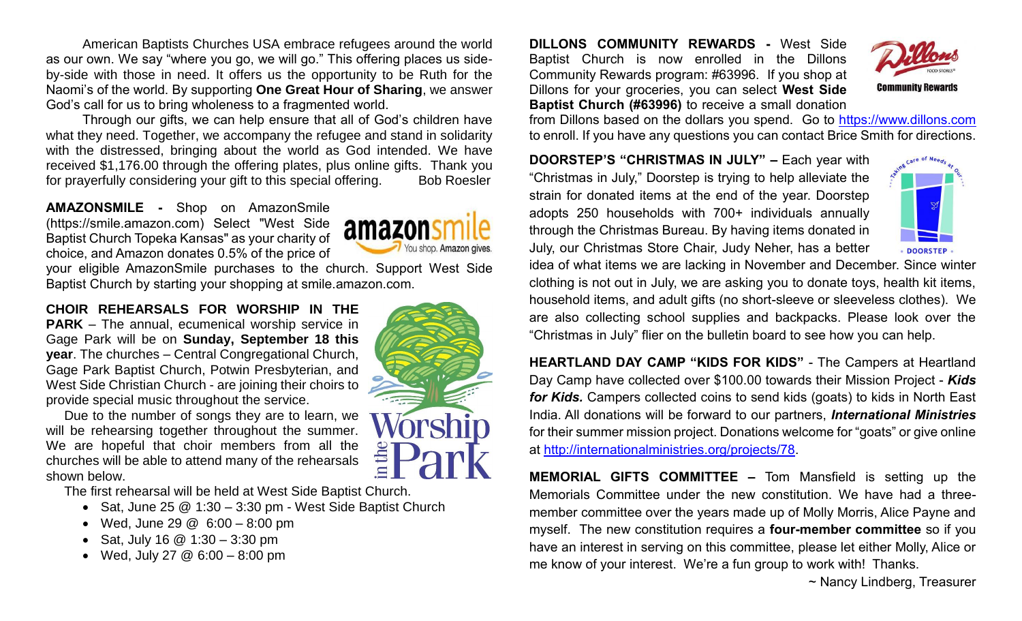American Baptists Churches USA embrace refugees around the world as our own. We say "where you go, we will go." This offering places us sideby-side with those in need. It offers us the opportunity to be Ruth for the Naomi's of the world. By supporting **One Great Hour of Sharing**, we answer God's call for us to bring wholeness to a fragmented world.

Through our gifts, we can help ensure that all of God's children have what they need. Together, we accompany the refugee and stand in solidarity with the distressed, bringing about the world as God intended. We have received \$1,176.00 through the offering plates, plus online gifts. Thank you for prayerfully considering your gift to this special offering. Bob Roesler

**AMAZONSMILE -** Shop on AmazonSmile (https://smile.amazon.com) Select "West Side Baptist Church Topeka Kansas" as your charity of choice, and Amazon donates 0.5% of the price of



your eligible AmazonSmile purchases to the church. Support West Side Baptist Church by starting your shopping at smile.amazon.com.

**CHOIR REHEARSALS FOR WORSHIP IN THE PARK** – The annual, ecumenical worship service in Gage Park will be on **Sunday, September 18 this year**. The churches – Central Congregational Church, Gage Park Baptist Church, Potwin Presbyterian, and West Side Christian Church - are joining their choirs to provide special music throughout the service.

Due to the number of songs they are to learn, we will be rehearsing together throughout the summer. We are hopeful that choir members from all the churches will be able to attend many of the rehearsals shown below.

The first rehearsal will be held at West Side Baptist Church.

- Sat, June 25  $@ 1:30 3:30$  pm West Side Baptist Church
- Wed, June 29 @ 6:00 8:00 pm
- Sat, July 16  $@$  1:30 3:30 pm
- Wed, July 27  $@6:00 8:00$  pm



**DILLONS COMMUNITY REWARDS -** West Side Baptist Church is now enrolled in the Dillons Community Rewards program: #63996. If you shop at Dillons for your groceries, you can select **West Side Baptist Church (#63996)** to receive a small donation



from Dillons based on the dollars you spend. Go to [https://www.dillons.com](https://www.dillons.com/) to enroll. If you have any questions you can contact Brice Smith for directions.

**DOORSTEP'S "CHRISTMAS IN JULY" –** Each year with "Christmas in July," Doorstep is trying to help alleviate the strain for donated items at the end of the year. Doorstep adopts 250 households with 700+ individuals annually through the Christmas Bureau. By having items donated in July, our Christmas Store Chair, Judy Neher, has a better



idea of what items we are lacking in November and December. Since winter clothing is not out in July, we are asking you to donate toys, health kit items, household items, and adult gifts (no short-sleeve or sleeveless clothes). We are also collecting school supplies and backpacks. Please look over the "Christmas in July" flier on the bulletin board to see how you can help.

**HEARTLAND DAY CAMP "KIDS FOR KIDS"** - The Campers at Heartland Day Camp have collected over \$100.00 towards their Mission Project - *Kids for Kids.* Campers collected coins to send kids (goats) to kids in North East India. All donations will be forward to our partners, *International Ministries* for their summer mission project. Donations welcome for "goats" or give online at [http://internationalministries.org/projects/78.](http://internationalministries.org/projects/78)

**MEMORIAL GIFTS COMMITTEE –** Tom Mansfield is setting up the Memorials Committee under the new constitution. We have had a threemember committee over the years made up of Molly Morris, Alice Payne and myself. The new constitution requires a **four-member committee** so if you have an interest in serving on this committee, please let either Molly, Alice or me know of your interest. We're a fun group to work with! Thanks.

~ Nancy Lindberg, Treasurer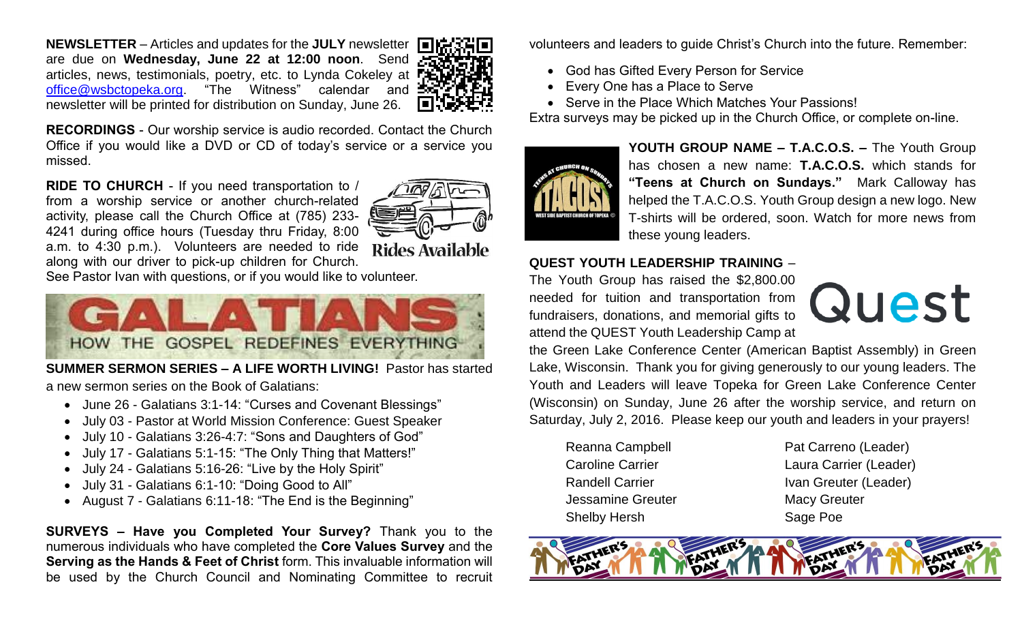**NEWSLETTER** – Articles and updates for the **JULY** newsletter are due on **Wednesday, June 22 at 12:00 noon**. Send articles, news, testimonials, poetry, etc. to Lynda Cokeley at FEL [office@wsbctopeka.org.](mailto:office@wsbctopeka.org) "The Witness" calendar and newsletter will be printed for distribution on Sunday, June 26.



**RECORDINGS** - Our worship service is audio recorded. Contact the Church Office if you would like a DVD or CD of today's service or a service you missed.

**RIDE TO CHURCH** - If you need transportation to / from a worship service or another church-related activity, please call the Church Office at (785) 233- 4241 during office hours (Tuesday thru Friday, 8:00



Rides Available

a.m. to 4:30 p.m.). Volunteers are needed to ride along with our driver to pick-up children for Church.

See Pastor Ivan with questions, or if you would like to volunteer.



**SUMMER SERMON SERIES – A LIFE WORTH LIVING!** Pastor has started a new sermon series on the Book of Galatians:

- June 26 Galatians 3:1-14: "Curses and Covenant Blessings"
- July 03 Pastor at World Mission Conference: Guest Speaker
- July 10 Galatians 3:26-4:7: "Sons and Daughters of God"
- July 17 Galatians 5:1-15: "The Only Thing that Matters!"
- July 24 Galatians 5:16-26: "Live by the Holy Spirit"
- July 31 Galatians 6:1-10: "Doing Good to All"
- August 7 Galatians 6:11-18: "The End is the Beginning"

**SURVEYS – Have you Completed Your Survey?** Thank you to the numerous individuals who have completed the **Core Values Survey** and the **Serving as the Hands & Feet of Christ** form. This invaluable information will be used by the Church Council and Nominating Committee to recruit volunteers and leaders to guide Christ's Church into the future. Remember:

- God has Gifted Every Person for Service
- Every One has a Place to Serve
- Serve in the Place Which Matches Your Passions!

Extra surveys may be picked up in the Church Office, or complete on-line.



**YOUTH GROUP NAME – T.A.C.O.S. –** The Youth Group has chosen a new name: **T.A.C.O.S.** which stands for **"Teens at Church on Sundays."** Mark Calloway has helped the T.A.C.O.S. Youth Group design a new logo. New T-shirts will be ordered, soon. Watch for more news from these young leaders.

### **QUEST YOUTH LEADERSHIP TRAINING** –

The Youth Group has raised the \$2,800.00 needed for tuition and transportation from fundraisers, donations, and memorial gifts to attend the QUEST Youth Leadership Camp at



the Green Lake Conference Center (American Baptist Assembly) in Green Lake, Wisconsin. Thank you for giving generously to our young leaders. The Youth and Leaders will leave Topeka for Green Lake Conference Center (Wisconsin) on Sunday, June 26 after the worship service, and return on Saturday, July 2, 2016. Please keep our youth and leaders in your prayers!

Jessamine Greuter Macy Greuter Shelby Hersh Sage Poe

Reanna Campbell Pat Carreno (Leader) Caroline Carrier Laura Carrier (Leader) Randell Carrier **IVAN Greuter (Leader)**